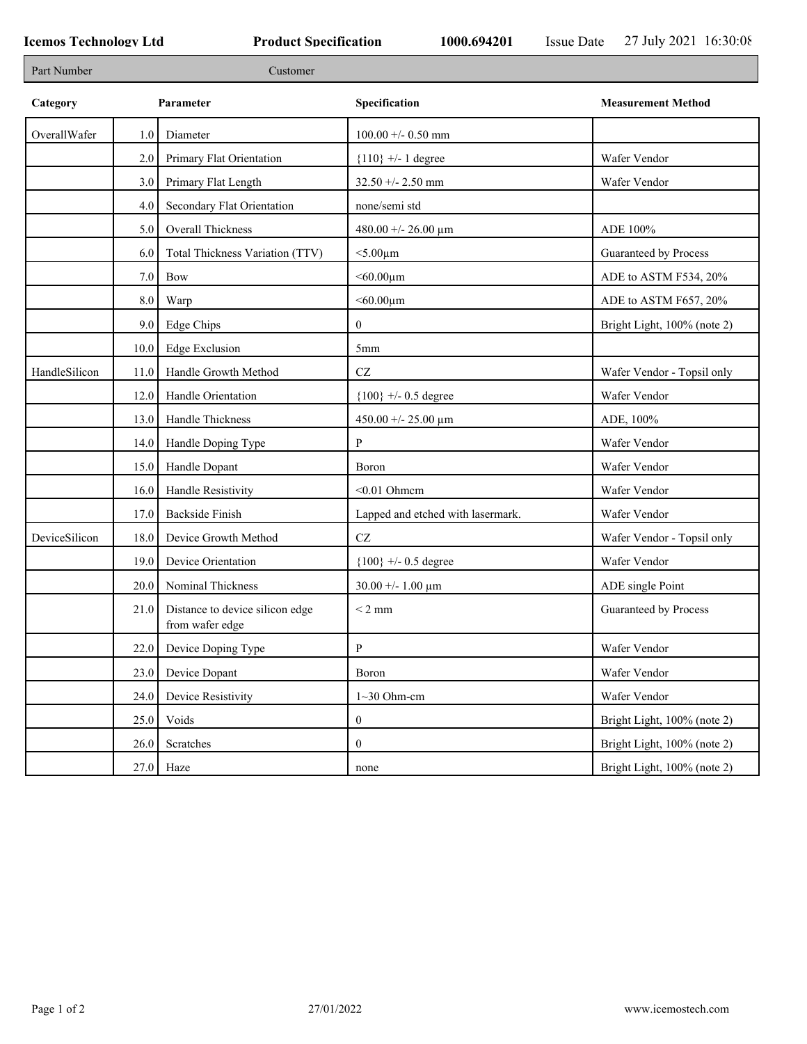| Part Number   |         | Customer                                           |                                   |                             |
|---------------|---------|----------------------------------------------------|-----------------------------------|-----------------------------|
| Category      |         | Parameter                                          | Specification                     | <b>Measurement Method</b>   |
| OverallWafer  | 1.0     | Diameter                                           | $100.00 + - 0.50$ mm              |                             |
|               | $2.0\,$ | Primary Flat Orientation                           | ${110}$ +/- 1 degree              | Wafer Vendor                |
|               | 3.0     | Primary Flat Length                                | $32.50 + - 2.50$ mm               | Wafer Vendor                |
|               | 4.0     | Secondary Flat Orientation                         | none/semi std                     |                             |
|               | 5.0     | Overall Thickness                                  | 480.00 +/- 26.00 $\mu$ m          | ADE 100%                    |
|               | 6.0     | Total Thickness Variation (TTV)                    | $<$ 5.00 $\mu$ m                  | Guaranteed by Process       |
|               | 7.0     | Bow                                                | $< 60.00 \mu m$                   | ADE to ASTM F534, 20%       |
|               | $8.0\,$ | Warp                                               | $< 60.00 \mu m$                   | ADE to ASTM F657, 20%       |
|               | 9.0     | <b>Edge Chips</b>                                  | $\boldsymbol{0}$                  | Bright Light, 100% (note 2) |
|               | 10.0    | <b>Edge Exclusion</b>                              | 5mm                               |                             |
| HandleSilicon | 11.0    | Handle Growth Method                               | CZ                                | Wafer Vendor - Topsil only  |
|               | 12.0    | Handle Orientation                                 | ${100}$ +/- 0.5 degree            | Wafer Vendor                |
|               | 13.0    | Handle Thickness                                   | $450.00 + - 25.00 \mu m$          | ADE, 100%                   |
|               | 14.0    | Handle Doping Type                                 | P                                 | Wafer Vendor                |
|               | 15.0    | Handle Dopant                                      | Boron                             | Wafer Vendor                |
|               | 16.0    | Handle Resistivity                                 | $< 0.01$ Ohmem                    | Wafer Vendor                |
|               | 17.0    | <b>Backside Finish</b>                             | Lapped and etched with lasermark. | Wafer Vendor                |
| DeviceSilicon | 18.0    | Device Growth Method                               | $\operatorname{CZ}$               | Wafer Vendor - Topsil only  |
|               | 19.0    | Device Orientation                                 | ${100}$ +/- 0.5 degree            | Wafer Vendor                |
|               | 20.0    | Nominal Thickness                                  | $30.00 + - 1.00 \mu m$            | ADE single Point            |
|               | 21.0    | Distance to device silicon edge<br>from wafer edge | $<$ 2 mm                          | Guaranteed by Process       |
|               | 22.0    | Device Doping Type                                 | $\mathbf{P}$                      | Wafer Vendor                |
|               | 23.0    | Device Dopant                                      | Boron                             | Wafer Vendor                |
|               | 24.0    | Device Resistivity                                 | $1~30$ Ohm-cm                     | Wafer Vendor                |
|               | 25.0    | Voids                                              | $\boldsymbol{0}$                  | Bright Light, 100% (note 2) |
|               | 26.0    | Scratches                                          | $\boldsymbol{0}$                  | Bright Light, 100% (note 2) |
|               | 27.0    | Haze                                               | none                              | Bright Light, 100% (note 2) |